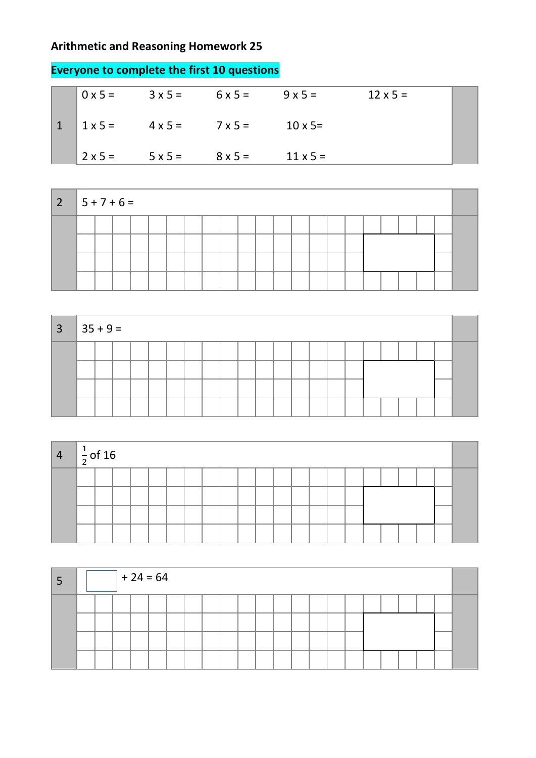## **Arithmetic and Reasoning Homework 25**

| $\sqrt{0}$ x 5 = | $3 \times 5 =$ | $6x5=$         | $9 \times 5 =$  | $12 \times 5 =$ |  |
|------------------|----------------|----------------|-----------------|-----------------|--|
| $1 \times 5 =$   | $4 \times 5 =$ | $7 \times 5 =$ | $10 \times 5=$  |                 |  |
| $2 \times 5 =$   | $5 \times 5 =$ | $8 \times 5 =$ | $11 \times 5 =$ |                 |  |

| $ 2 5+7+6=$ |  |  |  |  |  |  |  |  |  |  |  |
|-------------|--|--|--|--|--|--|--|--|--|--|--|
|             |  |  |  |  |  |  |  |  |  |  |  |
|             |  |  |  |  |  |  |  |  |  |  |  |
|             |  |  |  |  |  |  |  |  |  |  |  |
|             |  |  |  |  |  |  |  |  |  |  |  |

| $\overline{3}$ | $35 + 9 =$ |  |  |  |  |  |  |  |  |  |  |  |
|----------------|------------|--|--|--|--|--|--|--|--|--|--|--|
|                |            |  |  |  |  |  |  |  |  |  |  |  |
|                |            |  |  |  |  |  |  |  |  |  |  |  |
|                |            |  |  |  |  |  |  |  |  |  |  |  |
|                |            |  |  |  |  |  |  |  |  |  |  |  |

| $\sqrt{4}$ | $\frac{1}{2}$ of 16 |  |  |  |  |  |  |  |  |  |  |
|------------|---------------------|--|--|--|--|--|--|--|--|--|--|
|            |                     |  |  |  |  |  |  |  |  |  |  |
|            |                     |  |  |  |  |  |  |  |  |  |  |
|            |                     |  |  |  |  |  |  |  |  |  |  |
|            |                     |  |  |  |  |  |  |  |  |  |  |

| ∍ |  | $+24=64$ |  |  |  |  |  |  |  |  |  |
|---|--|----------|--|--|--|--|--|--|--|--|--|
|   |  |          |  |  |  |  |  |  |  |  |  |
|   |  |          |  |  |  |  |  |  |  |  |  |
|   |  |          |  |  |  |  |  |  |  |  |  |

## **Everyone to complete the first 10 questions**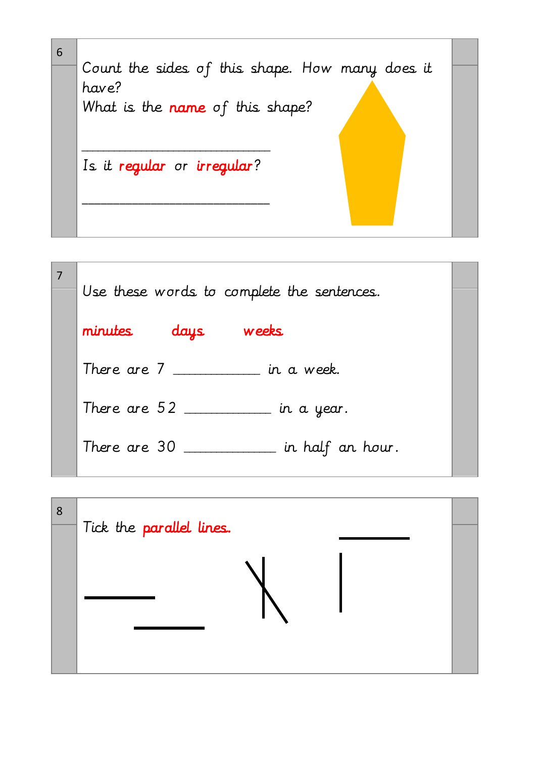

| Use these words to complete the sentences. |  |
|--------------------------------------------|--|
| weeks<br>minutes<br>days                   |  |
| There are $7 \_$                           |  |
| There are $52$<br>$\_$ in a year.          |  |
| There are 30<br>$\_$ in half an hour.      |  |

| 8 | Tick the parallel lines. |  |
|---|--------------------------|--|
|   |                          |  |
|   |                          |  |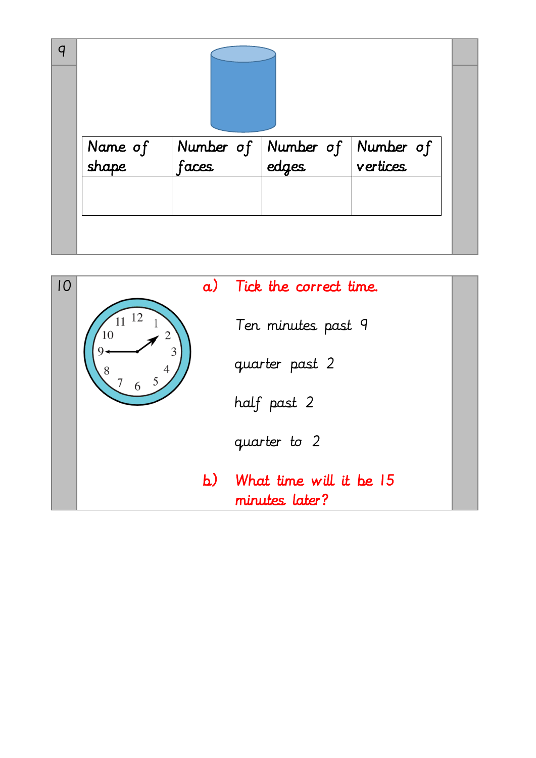| a |                  |                    |                                                                                     |                       |  |
|---|------------------|--------------------|-------------------------------------------------------------------------------------|-----------------------|--|
|   | Name of<br>shape | Number of<br>faces | $\begin{array}{ l } \hline \textbf{Number of} \\ \hline \textbf{edges} \end{array}$ | Number of<br>vertices |  |
|   |                  |                    |                                                                                     |                       |  |

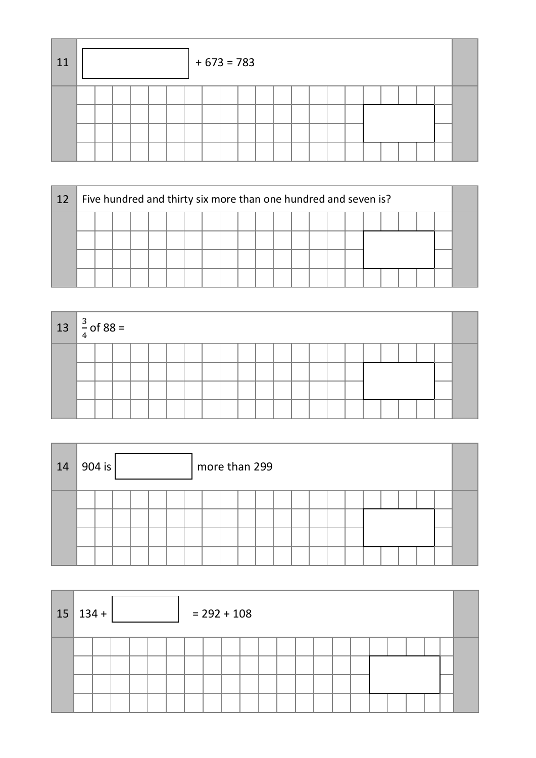| 11 |  |  |  | $+ 673 = 783$ |  |  |  |  |  |  |  |
|----|--|--|--|---------------|--|--|--|--|--|--|--|
|    |  |  |  |               |  |  |  |  |  |  |  |

| 12 |  |  |  |  |  |  |  |  |  |  |  | Five hundred and thirty six more than one hundred and seven is? |  |  |  |  |  |  |  |
|----|--|--|--|--|--|--|--|--|--|--|--|-----------------------------------------------------------------|--|--|--|--|--|--|--|
|    |  |  |  |  |  |  |  |  |  |  |  |                                                                 |  |  |  |  |  |  |  |
|    |  |  |  |  |  |  |  |  |  |  |  |                                                                 |  |  |  |  |  |  |  |
|    |  |  |  |  |  |  |  |  |  |  |  |                                                                 |  |  |  |  |  |  |  |
|    |  |  |  |  |  |  |  |  |  |  |  |                                                                 |  |  |  |  |  |  |  |

| $13 \left  \frac{3}{4} \right.$ of 88 = |  |  |  |  |  |  |  |  |  |  |  |
|-----------------------------------------|--|--|--|--|--|--|--|--|--|--|--|
|                                         |  |  |  |  |  |  |  |  |  |  |  |
|                                         |  |  |  |  |  |  |  |  |  |  |  |
|                                         |  |  |  |  |  |  |  |  |  |  |  |
|                                         |  |  |  |  |  |  |  |  |  |  |  |

| 14 | 904 is $ $ |  |  | more than 299 |  |  |  |  |  |  |  |
|----|------------|--|--|---------------|--|--|--|--|--|--|--|
|    |            |  |  |               |  |  |  |  |  |  |  |
|    |            |  |  |               |  |  |  |  |  |  |  |

|  | $15 134+$<br>$= 292 + 108$ |  |  |  |  |  |  |  |  |  |  |  |  |  |  |  |  |  |  |
|--|----------------------------|--|--|--|--|--|--|--|--|--|--|--|--|--|--|--|--|--|--|
|  |                            |  |  |  |  |  |  |  |  |  |  |  |  |  |  |  |  |  |  |
|  |                            |  |  |  |  |  |  |  |  |  |  |  |  |  |  |  |  |  |  |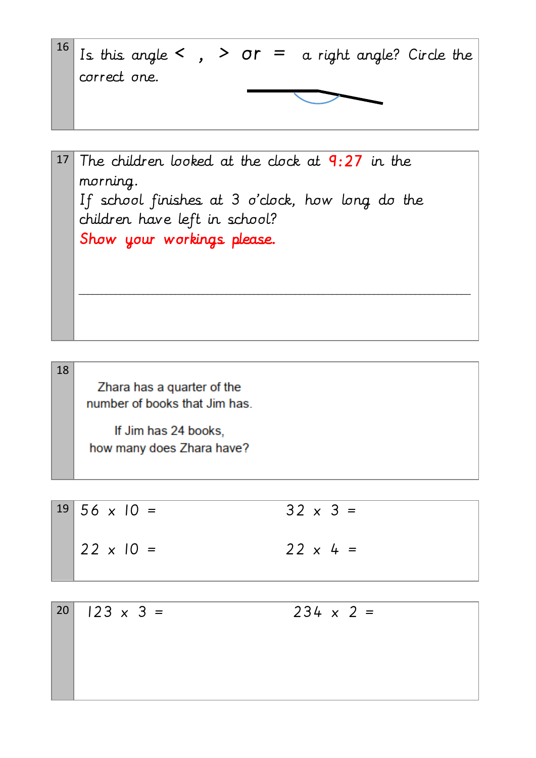$16$  Is this angle < , > or = a right angle? Circle the correct one.

17 The children looked at the clock at  $9:27$  in the morning. If school finishes at 3 o'clock, how long do the children have left in school? Show your workings please. \_\_\_\_\_\_\_\_\_\_\_\_\_\_\_\_\_\_\_\_\_\_\_\_\_\_\_\_\_\_\_\_\_\_\_\_\_\_\_\_\_\_\_\_\_\_\_\_\_\_\_\_\_\_\_\_\_\_\_\_\_\_\_\_\_\_\_\_\_\_\_\_\_\_\_\_\_\_\_\_\_\_\_\_\_

Zhara has a quarter of the number of books that Jim has

18

If Jim has 24 books. how many does Zhara have?

 $19 \mid 56 \times 10 = 32 \times 3 =$  $22 \times 10 = 22 \times 4 =$